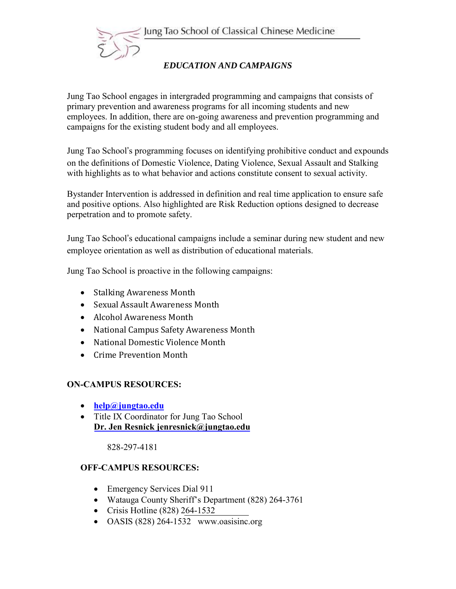



# *EDUCATION AND CAMPAIGNS*

Jung Tao School engages in intergraded programming and campaigns that consists of primary prevention and awareness programs for all incoming students and new employees. In addition, there are on-going awareness and prevention programming and campaigns for the existing student body and all employees.

Jung Tao School's programming focuses on identifying prohibitive conduct and expounds on the definitions of Domestic Violence, Dating Violence, Sexual Assault and Stalking with highlights as to what behavior and actions constitute consent to sexual activity.

Bystander Intervention is addressed in definition and real time application to ensure safe and positive options. Also highlighted are Risk Reduction options designed to decrease perpetration and to promote safety.

Jung Tao School's educational campaigns include a seminar during new student and new employee orientation as well as distribution of educational materials.

Jung Tao School is proactive in the following campaigns:

- Stalking Awareness Month
- Sexual Assault Awareness Month
- Alcohol Awareness Month
- National Campus Safety Awareness Month
- National Domestic Violence Month
- Crime Prevention Month

#### **ON-CAMPUS RESOURCES:**

- **help@jungtao.edu**
- Title IX Coordinator for Jung Tao School **Dr. Jen Resnick jenresnick@jungtao.edu**

828-297-4181

#### **OFF-CAMPUS RESOURCES:**

- Emergency Services Dial 911
- Watauga County Sheriff's Department (828) 264-3761
- Crisis Hotline (828) 264-1532
- OASIS (828) 264-1532 www.oasisinc.org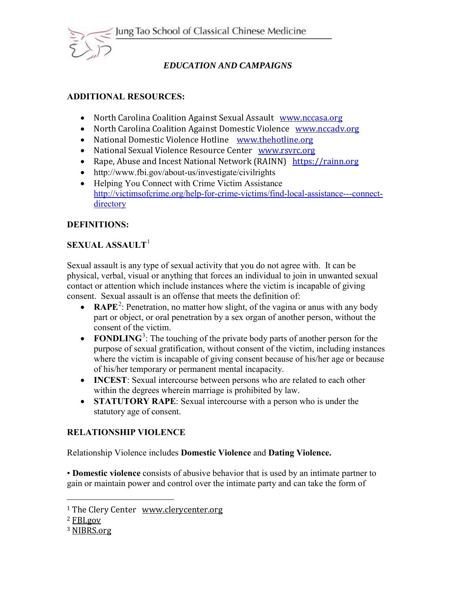

# *EDUCATION AND CAMPAIGNS*

## **ADDITIONAL RESOURCES:**

- North Carolina Coalition Against Sexual Assault www.nccasa.org
- North Carolina Coalition Against Domestic Violence www.nccadv.org
- National Domestic Violence Hotline www.thehotline.org
- National Sexual Violence Resource Center www.rsvrc.org
- Rape, Abuse and Incest National Network (RAINN) https://rainn.org
- http://www.fbi.gov/about-us/investigate/civilrights
- Helping You Connect with Crime Victim Assistance http://victimsofcrime.org/help-for-crime-victims/find-local-assistance---connectdirectory

# **DEFINITIONS:**

# **SEXUAL ASSAULT**[1](#page-1-0)

Sexual assault is any type of sexual activity that you do not agree with. It can be physical, verbal, visual or anything that forces an individual to join in unwanted sexual contact or attention which include instances where the victim is incapable of giving consent. Sexual assault is an offense that meets the definition of:

- **RAPE**<sup>[2](#page-1-1)</sup>: Penetration, no matter how slight, of the vagina or anus with any body part or object, or oral penetration by a sex organ of another person, without the consent of the victim.
- **FONDLING**<sup>[3](#page-1-2)</sup>: The touching of the private body parts of another person for the purpose of sexual gratification, without consent of the victim, including instances where the victim is incapable of giving consent because of his/her age or because of his/her temporary or permanent mental incapacity.
- **INCEST**: Sexual intercourse between persons who are related to each other within the degrees wherein marriage is prohibited by law.
- **STATUTORY RAPE**: Sexual intercourse with a person who is under the statutory age of consent.

## **RELATIONSHIP VIOLENCE**

Relationship Violence includes **Domestic Violence** and **Dating Violence.** 

• **Domestic violence** consists of abusive behavior that is used by an intimate partner to gain or maintain power and control over the intimate party and can take the form of

 $\overline{a}$ 

<span id="page-1-0"></span><sup>&</sup>lt;sup>1</sup> The Clery Center <u>www.clerycenter.org</u><br><sup>2</sup> FBI.gov

<span id="page-1-1"></span>

<span id="page-1-2"></span><sup>&</sup>lt;sup>3</sup> NIBRS.org